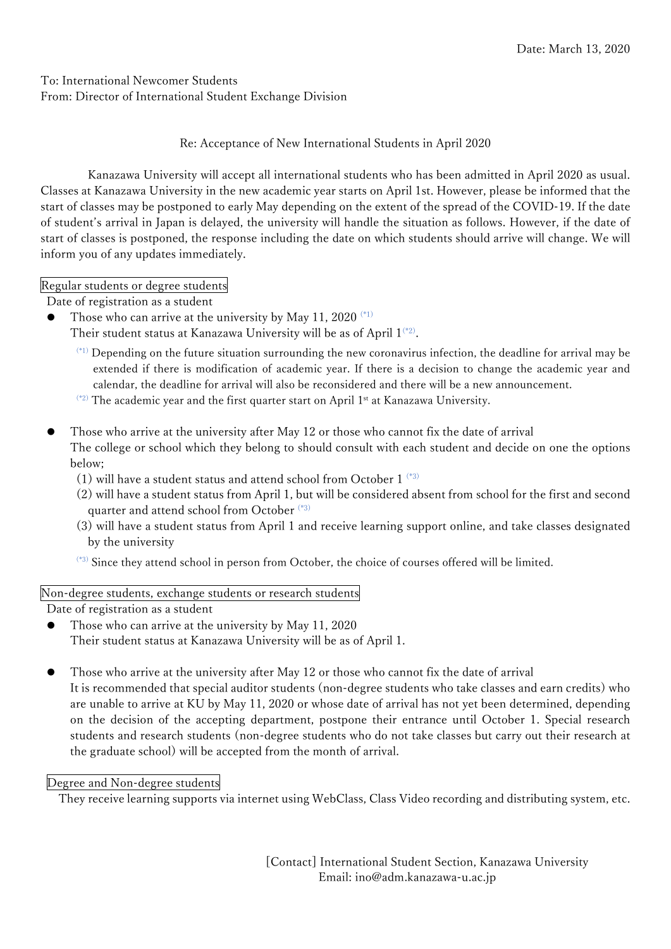To: International Newcomer Students From: Director of International Student Exchange Division

Re: Acceptance of New International Students in April 2020

Kanazawa University will accept all international students who has been admitted in April 2020 as usual. Classes at Kanazawa University in the new academic year starts on April 1st. However, please be informed that the start of classes may be postponed to early May depending on the extent of the spread of the COVID-19. If the date of student's arrival in Japan is delayed, the university will handle the situation as follows. However, if the date of start of classes is postponed, the response including the date on which students should arrive will change. We will inform you of any updates immediately.

Regular students or degree students

Date of registration as a student

Those who can arrive at the university by May 11, 2020  $(1)$ 

Their student status at Kanazawa University will be as of April 1(\*2).

(\*1) Depending on the future situation surrounding the new coronavirus infection, the deadline for arrival may be extended if there is modification of academic year. If there is a decision to change the academic year and calendar, the deadline for arrival will also be reconsidered and there will be a new announcement.

- $(2)$  The academic year and the first quarter start on April 1st at Kanazawa University.
- Those who arrive at the university after May 12 or those who cannot fix the date of arrival The college or school which they belong to should consult with each student and decide on one the options below;
	- (1) will have a student status and attend school from October 1  $^{(*)}$
	- (2) will have a student status from April 1, but will be considered absent from school for the first and second quarter and attend school from October (\*3)
	- (3) will have a student status from April 1 and receive learning support online, and take classes designated by the university
	- (\*3) Since they attend school in person from October, the choice of courses offered will be limited.

Non-degree students, exchange students or research students

Date of registration as a student

- Those who can arrive at the university by May 11, 2020 Their student status at Kanazawa University will be as of April 1.
- Those who arrive at the university after May 12 or those who cannot fix the date of arrival It is recommended that special auditor students (non-degree students who take classes and earn credits) who are unable to arrive at KU by May 11, 2020 or whose date of arrival has not yet been determined, depending on the decision of the accepting department, postpone their entrance until October 1. Special research students and research students (non-degree students who do not take classes but carry out their research at the graduate school) will be accepted from the month of arrival.

# Degree and Non-degree students

They receive learning supports via internet using WebClass, Class Video recording and distributing system, etc.

[Contact] International Student Section, Kanazawa University Email: ino@adm.kanazawa-u.ac.jp